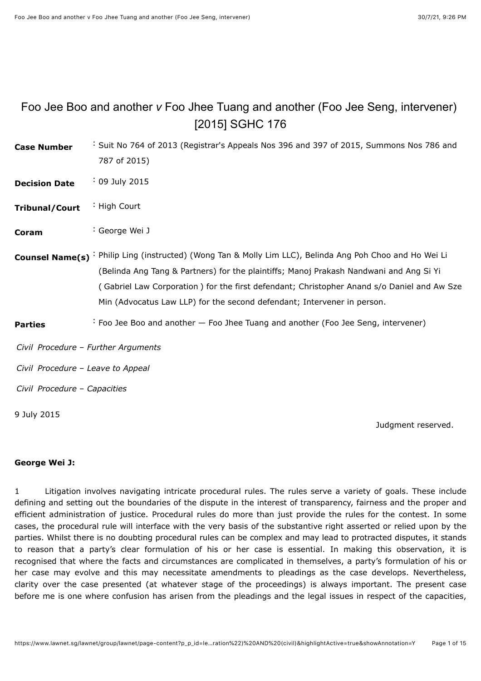# <span id="page-0-0"></span>Foo Jee Boo and another *v* Foo Jhee Tuang and another (Foo Jee Seng, intervener) [\[2015\] SGHC 176](javascript:viewPageContent()

**Case Number** : Suit No 764 of 2013 (Registrar's Appeals Nos 396 and 397 of 2015, Summons Nos 786 and 787 of 2015) **Decision Date** : 09 July 2015

- **Tribunal/Court** : High Court
- **Coram** : [George Wei J](javascript:actionFiltering()
- **Counsel Name(s)** : Philip Ling (instructed) (Wong Tan & Molly Lim LLC), Belinda Ang Poh Choo and Ho Wei Li (Belinda Ang Tang & Partners) for the plaintiffs; Manoj Prakash Nandwani and Ang Si Yi ( Gabriel Law Corporation ) for the first defendant; Christopher Anand s/o Daniel and Aw Sze Min (Advocatus Law LLP) for the second defendant; Intervener in person.
- **Parties** : Foo Jee Boo and another Foo Jhee Tuang and another (Foo Jee Seng, intervener)

*Civil Procedure* – *Further Arguments*

*Civil Procedure* – *Leave to Appeal*

*Civil Procedure* – *Capacities*

9 July 2015

Judgment reserved.

#### **George Wei J:**

1 Litigation involves navigating intricate procedural rules. The rules serve a variety of goals. These include defining and setting out the boundaries of the dispute in the interest of transparency, fairness and the proper and efficient administration of justice. Procedural rules do more than just provide the rules for the contest. In some cases, the procedural rule will interface with the very basis of the substantive right asserted or relied upon by the parties. Whilst there is no doubting procedural rules can be complex and may lead to protracted disputes, it stands to reason that a party's clear formulation of his or her case is essential. In making this observation, it is recognised that where the facts and circumstances are complicated in themselves, a party's formulation of his or her case may evolve and this may necessitate amendments to pleadings as the case develops. Nevertheless, clarity over the case presented (at whatever stage of the proceedings) is always important. The present case before me is one where confusion has arisen from the pleadings and the legal issues in respect of the capacities,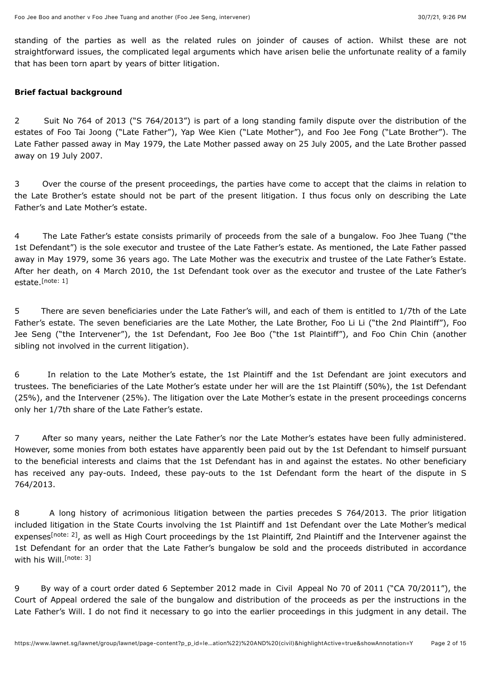standing of the parties as well as the related rules on joinder of causes of action. Whilst these are not straightforward issues, the complicated legal arguments which have arisen belie the unfortunate reality of a family that has been torn apart by years of bitter litigation.

#### **Brief factual background**

2 Suit No 764 of 2013 ("S 764/2013") is part of a long standing family dispute over the distribution of the estates of Foo Tai Joong ("Late Father"), Yap Wee Kien ("Late Mother"), and Foo Jee Fong ("Late Brother"). The Late Father passed away in May 1979, the Late Mother passed away on 25 July 2005, and the Late Brother passed away on 19 July 2007.

3 Over the course of the present proceedings, the parties have come to accept that the claims in relation to the Late Brother's estate should not be part of the present litigation. I thus focus only on describing the Late Father's and Late Mother's estate.

4 The Late Father's estate consists primarily of proceeds from the sale of a bungalow. Foo Jhee Tuang ("the 1st Defendant") is the sole executor and trustee of the Late Father's estate. As mentioned, the Late Father passed away in May 1979, some 36 years ago. The Late Mother was the executrix and trustee of the Late Father's Estate. After her death, on 4 March 2010, the 1st Defendant took over as the executor and trustee of the Late Father's estate.<sup>[\[note: 1\]](#page-13-0)</sup>

<span id="page-1-0"></span>5 There are seven beneficiaries under the Late Father's will, and each of them is entitled to 1/7th of the Late Father's estate. The seven beneficiaries are the Late Mother, the Late Brother, Foo Li Li ("the 2nd Plaintiff"), Foo Jee Seng ("the Intervener"), the 1st Defendant, Foo Jee Boo ("the 1st Plaintiff"), and Foo Chin Chin (another sibling not involved in the current litigation).

6 In relation to the Late Mother's estate, the 1st Plaintiff and the 1st Defendant are joint executors and trustees. The beneficiaries of the Late Mother's estate under her will are the 1st Plaintiff (50%), the 1st Defendant (25%), and the Intervener (25%). The litigation over the Late Mother's estate in the present proceedings concerns only her 1/7th share of the Late Father's estate.

7 After so many years, neither the Late Father's nor the Late Mother's estates have been fully administered. However, some monies from both estates have apparently been paid out by the 1st Defendant to himself pursuant to the beneficial interests and claims that the 1st Defendant has in and against the estates. No other beneficiary has received any pay-outs. Indeed, these pay-outs to the 1st Defendant form the heart of the dispute in S 764/2013.

<span id="page-1-1"></span>8 A long history of acrimonious litigation between the parties precedes S 764/2013. The prior litigation included litigation in the State Courts involving the 1st Plaintiff and 1st Defendant over the Late Mother's medical expenses<sup>[\[note: 2\]](#page-14-0)</sup>, as well as High Court proceedings by the 1st Plaintiff, 2nd Plaintiff and the Intervener against the 1st Defendant for an order that the Late Father's bungalow be sold and the proceeds distributed in accordance with his Will. [\[note: 3\]](#page-14-1)

<span id="page-1-2"></span>9 By way of a court order dated 6 September 2012 made in Civil Appeal No 70 of 2011 ("CA 70/2011"), the Court of Appeal ordered the sale of the bungalow and distribution of the proceeds as per the instructions in the Late Father's Will. I do not find it necessary to go into the earlier proceedings in this judgment in any detail. The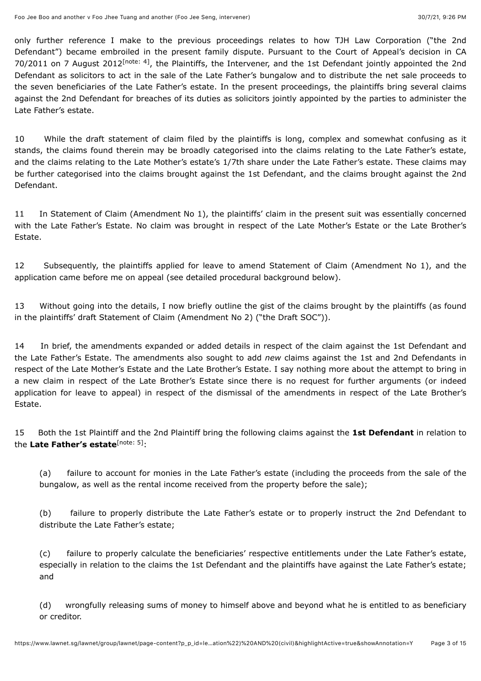<span id="page-2-0"></span>only further reference I make to the previous proceedings relates to how TJH Law Corporation ("the 2nd Defendant") became embroiled in the present family dispute. Pursuant to the Court of Appeal's decision in CA 70/2011 on 7 August 2012<sup>[\[note: 4\]](#page-14-2)</sup>, the Plaintiffs, the Intervener, and the 1st Defendant jointly appointed the 2nd Defendant as solicitors to act in the sale of the Late Father's bungalow and to distribute the net sale proceeds to the seven beneficiaries of the Late Father's estate. In the present proceedings, the plaintiffs bring several claims against the 2nd Defendant for breaches of its duties as solicitors jointly appointed by the parties to administer the Late Father's estate.

10 While the draft statement of claim filed by the plaintiffs is long, complex and somewhat confusing as it stands, the claims found therein may be broadly categorised into the claims relating to the Late Father's estate, and the claims relating to the Late Mother's estate's 1/7th share under the Late Father's estate. These claims may be further categorised into the claims brought against the 1st Defendant, and the claims brought against the 2nd Defendant.

11 In Statement of Claim (Amendment No 1), the plaintiffs' claim in the present suit was essentially concerned with the Late Father's Estate. No claim was brought in respect of the Late Mother's Estate or the Late Brother's Estate.

12 Subsequently, the plaintiffs applied for leave to amend Statement of Claim (Amendment No 1), and the application came before me on appeal (see detailed procedural background below).

13 Without going into the details, I now briefly outline the gist of the claims brought by the plaintiffs (as found in the plaintiffs' draft Statement of Claim (Amendment No 2) ("the Draft SOC")).

14 In brief, the amendments expanded or added details in respect of the claim against the 1st Defendant and the Late Father's Estate. The amendments also sought to add *new* claims against the 1st and 2nd Defendants in respect of the Late Mother's Estate and the Late Brother's Estate. I say nothing more about the attempt to bring in a new claim in respect of the Late Brother's Estate since there is no request for further arguments (or indeed application for leave to appeal) in respect of the dismissal of the amendments in respect of the Late Brother's Estate.

15 Both the 1st Plaintiff and the 2nd Plaintiff bring the following claims against the **1st Defendant** in relation to the Late Father's estate<sup>[\[note: 5\]](#page-14-3)</sup>:

<span id="page-2-1"></span>(a) failure to account for monies in the Late Father's estate (including the proceeds from the sale of the bungalow, as well as the rental income received from the property before the sale);

(b) failure to properly distribute the Late Father's estate or to properly instruct the 2nd Defendant to distribute the Late Father's estate;

(c) failure to properly calculate the beneficiaries' respective entitlements under the Late Father's estate, especially in relation to the claims the 1st Defendant and the plaintiffs have against the Late Father's estate; and

(d) wrongfully releasing sums of money to himself above and beyond what he is entitled to as beneficiary or creditor.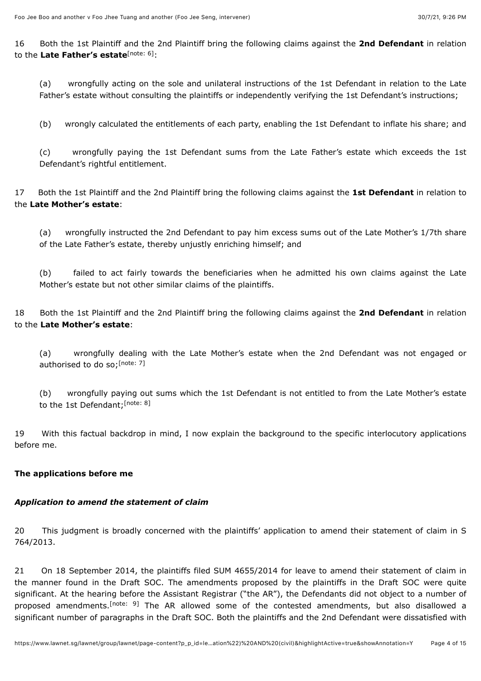16 Both the 1st Plaintiff and the 2nd Plaintiff bring the following claims against the **2nd Defendant** in relation to the Late Father's estate<sup>[\[note: 6\]](#page-14-4)</sup>:

<span id="page-3-0"></span>(a) wrongfully acting on the sole and unilateral instructions of the 1st Defendant in relation to the Late Father's estate without consulting the plaintiffs or independently verifying the 1st Defendant's instructions;

(b) wrongly calculated the entitlements of each party, enabling the 1st Defendant to inflate his share; and

(c) wrongfully paying the 1st Defendant sums from the Late Father's estate which exceeds the 1st Defendant's rightful entitlement.

17 Both the 1st Plaintiff and the 2nd Plaintiff bring the following claims against the **1st Defendant** in relation to the **Late Mother's estate**:

(a) wrongfully instructed the 2nd Defendant to pay him excess sums out of the Late Mother's 1/7th share of the Late Father's estate, thereby unjustly enriching himself; and

(b) failed to act fairly towards the beneficiaries when he admitted his own claims against the Late Mother's estate but not other similar claims of the plaintiffs.

18 Both the 1st Plaintiff and the 2nd Plaintiff bring the following claims against the **2nd Defendant** in relation to the **Late Mother's estate**:

<span id="page-3-1"></span>(a) wrongfully dealing with the Late Mother's estate when the 2nd Defendant was not engaged or authorised to do so;<sup>[\[note: 7\]](#page-14-5)</sup>

<span id="page-3-2"></span>(b) wrongfully paying out sums which the 1st Defendant is not entitled to from the Late Mother's estate to the 1st Defendant;<sup>[\[note: 8\]](#page-14-6)</sup>

19 With this factual backdrop in mind, I now explain the background to the specific interlocutory applications before me.

# **The applications before me**

#### *Application to amend the statement of claim*

20 This judgment is broadly concerned with the plaintiffs' application to amend their statement of claim in S 764/2013.

<span id="page-3-3"></span>21 On 18 September 2014, the plaintiffs filed SUM 4655/2014 for leave to amend their statement of claim in the manner found in the Draft SOC. The amendments proposed by the plaintiffs in the Draft SOC were quite significant. At the hearing before the Assistant Registrar ("the AR"), the Defendants did not object to a number of proposed amendments.<sup>[note: 9]</sup> The AR allowed some of the contested amendments, but also disallowed a significant number of paragraphs in the Draft SOC. Both the plaintiffs and the 2nd Defendant were dissatisfied with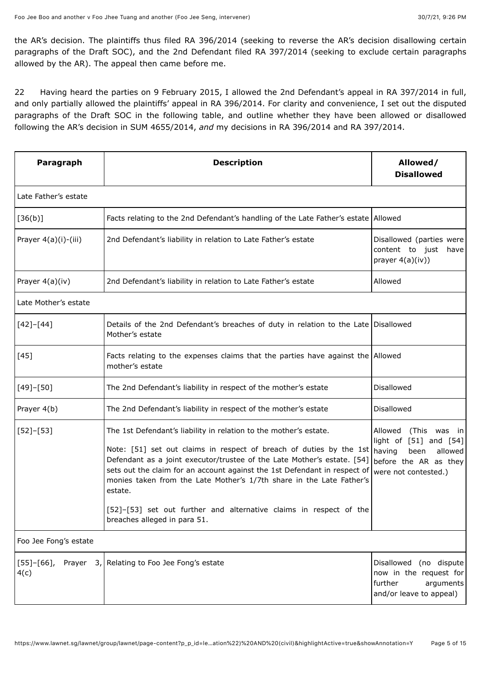the AR's decision. The plaintiffs thus filed RA 396/2014 (seeking to reverse the AR's decision disallowing certain paragraphs of the Draft SOC), and the 2nd Defendant filed RA 397/2014 (seeking to exclude certain paragraphs allowed by the AR). The appeal then came before me.

22 Having heard the parties on 9 February 2015, I allowed the 2nd Defendant's appeal in RA 397/2014 in full, and only partially allowed the plaintiffs' appeal in RA 396/2014. For clarity and convenience, I set out the disputed paragraphs of the Draft SOC in the following table, and outline whether they have been allowed or disallowed following the AR's decision in SUM 4655/2014, *and* my decisions in RA 396/2014 and RA 397/2014.

| Paragraph               | <b>Description</b>                                                                                                                                                                                                                                                                                                                                                                                                                                                                                   | Allowed/<br><b>Disallowed</b>                                                                                                |
|-------------------------|------------------------------------------------------------------------------------------------------------------------------------------------------------------------------------------------------------------------------------------------------------------------------------------------------------------------------------------------------------------------------------------------------------------------------------------------------------------------------------------------------|------------------------------------------------------------------------------------------------------------------------------|
| Late Father's estate    |                                                                                                                                                                                                                                                                                                                                                                                                                                                                                                      |                                                                                                                              |
| [36(b)]                 | Facts relating to the 2nd Defendant's handling of the Late Father's estate Allowed                                                                                                                                                                                                                                                                                                                                                                                                                   |                                                                                                                              |
| Prayer 4(a)(i)-(iii)    | 2nd Defendant's liability in relation to Late Father's estate                                                                                                                                                                                                                                                                                                                                                                                                                                        | Disallowed (parties were<br>content to just<br>have<br>prayer $4(a)(iv)$ )                                                   |
| Prayer 4(a)(iv)         | 2nd Defendant's liability in relation to Late Father's estate                                                                                                                                                                                                                                                                                                                                                                                                                                        | Allowed                                                                                                                      |
| Late Mother's estate    |                                                                                                                                                                                                                                                                                                                                                                                                                                                                                                      |                                                                                                                              |
| $[42] - [44]$           | Details of the 2nd Defendant's breaches of duty in relation to the Late Disallowed<br>Mother's estate                                                                                                                                                                                                                                                                                                                                                                                                |                                                                                                                              |
| $[45]$                  | Facts relating to the expenses claims that the parties have against the Allowed<br>mother's estate                                                                                                                                                                                                                                                                                                                                                                                                   |                                                                                                                              |
| $[49] - [50]$           | The 2nd Defendant's liability in respect of the mother's estate                                                                                                                                                                                                                                                                                                                                                                                                                                      | <b>Disallowed</b>                                                                                                            |
| Prayer 4(b)             | The 2nd Defendant's liability in respect of the mother's estate                                                                                                                                                                                                                                                                                                                                                                                                                                      | Disallowed                                                                                                                   |
| $[52] - [53]$           | The 1st Defendant's liability in relation to the mother's estate.<br>Note: [51] set out claims in respect of breach of duties by the 1st $ $ having<br>Defendant as a joint executor/trustee of the Late Mother's estate. [54]<br>sets out the claim for an account against the 1st Defendant in respect of<br>monies taken from the Late Mother's 1/7th share in the Late Father's<br>estate.<br>[52]-[53] set out further and alternative claims in respect of the<br>breaches alleged in para 51. | Allowed<br>(This<br>was in<br>light of $[51]$ and $[54]$<br>been<br>allowed<br>before the AR as they<br>were not contested.) |
| Foo Jee Fong's estate   |                                                                                                                                                                                                                                                                                                                                                                                                                                                                                                      |                                                                                                                              |
| $[55] - [66]$ ,<br>4(c) | Prayer 3, Relating to Foo Jee Fong's estate                                                                                                                                                                                                                                                                                                                                                                                                                                                          | Disallowed (no dispute<br>now in the request for<br>further<br>arguments<br>and/or leave to appeal)                          |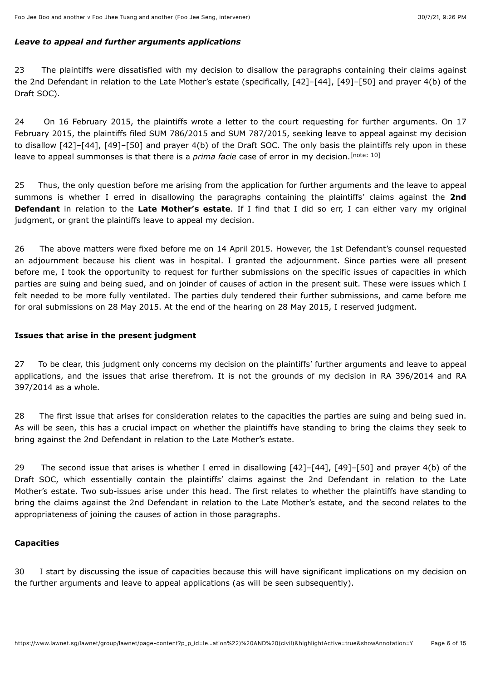#### *Leave to appeal and further arguments applications*

23 The plaintiffs were dissatisfied with my decision to disallow the paragraphs containing their claims against the 2nd Defendant in relation to the Late Mother's estate (specifically, [42]–[44], [49]–[50] and prayer 4(b) of the Draft SOC).

24 On 16 February 2015, the plaintiffs wrote a letter to the court requesting for further arguments. On 17 February 2015, the plaintiffs filed SUM 786/2015 and SUM 787/2015, seeking leave to appeal against my decision to disallow [42]–[44], [49]–[50] and prayer 4(b) of the Draft SOC. The only basis the plaintiffs rely upon in these leave to appeal summonses is that there is a *prima facie* case of error in my decision.<sup>[\[note: 10\]](#page-14-8)</sup>

<span id="page-5-0"></span>25 Thus, the only question before me arising from the application for further arguments and the leave to appeal summons is whether I erred in disallowing the paragraphs containing the plaintiffs' claims against the **2nd Defendant** in relation to the **Late Mother's estate**. If I find that I did so err, I can either vary my original judgment, or grant the plaintiffs leave to appeal my decision.

26 The above matters were fixed before me on 14 April 2015. However, the 1st Defendant's counsel requested an adjournment because his client was in hospital. I granted the adjournment. Since parties were all present before me, I took the opportunity to request for further submissions on the specific issues of capacities in which parties are suing and being sued, and on joinder of causes of action in the present suit. These were issues which I felt needed to be more fully ventilated. The parties duly tendered their further submissions, and came before me for oral submissions on 28 May 2015. At the end of the hearing on 28 May 2015, I reserved judgment.

# **Issues that arise in the present judgment**

27 To be clear, this judgment only concerns my decision on the plaintiffs' further arguments and leave to appeal applications, and the issues that arise therefrom. It is not the grounds of my decision in RA 396/2014 and RA 397/2014 as a whole.

28 The first issue that arises for consideration relates to the capacities the parties are suing and being sued in. As will be seen, this has a crucial impact on whether the plaintiffs have standing to bring the claims they seek to bring against the 2nd Defendant in relation to the Late Mother's estate.

29 The second issue that arises is whether I erred in disallowing [42]–[44], [49]–[50] and prayer 4(b) of the Draft SOC, which essentially contain the plaintiffs' claims against the 2nd Defendant in relation to the Late Mother's estate. Two sub-issues arise under this head. The first relates to whether the plaintiffs have standing to bring the claims against the 2nd Defendant in relation to the Late Mother's estate, and the second relates to the appropriateness of joining the causes of action in those paragraphs.

# **Capacities**

30 I start by discussing the issue of capacities because this will have significant implications on my decision on the further arguments and leave to appeal applications (as will be seen subsequently).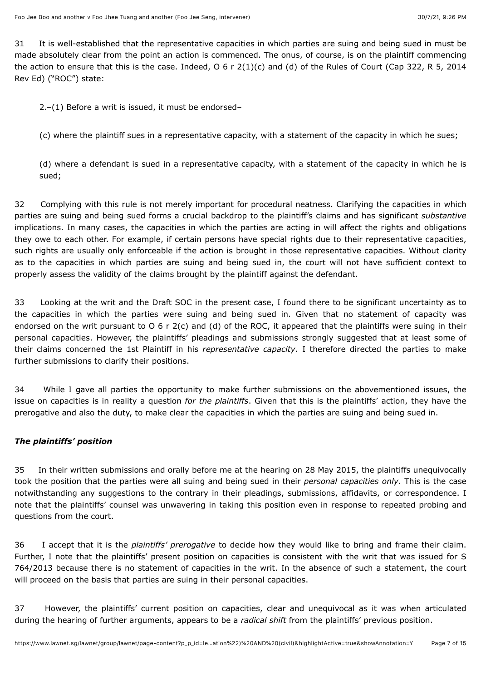31 It is well-established that the representative capacities in which parties are suing and being sued in must be made absolutely clear from the point an action is commenced. The onus, of course, is on the plaintiff commencing the action to ensure that this is the case. Indeed,  $0 \ 6 \ r \ 2(1)(c)$  and (d) of the Rules of Court (Cap 322, R 5, 2014 Rev Ed) ("ROC") state:

2.–(1) Before a writ is issued, it must be endorsed–

(c) where the plaintiff sues in a representative capacity, with a statement of the capacity in which he sues;

(d) where a defendant is sued in a representative capacity, with a statement of the capacity in which he is sued;

32 Complying with this rule is not merely important for procedural neatness. Clarifying the capacities in which parties are suing and being sued forms a crucial backdrop to the plaintiff's claims and has significant *substantive* implications. In many cases, the capacities in which the parties are acting in will affect the rights and obligations they owe to each other. For example, if certain persons have special rights due to their representative capacities, such rights are usually only enforceable if the action is brought in those representative capacities. Without clarity as to the capacities in which parties are suing and being sued in, the court will not have sufficient context to properly assess the validity of the claims brought by the plaintiff against the defendant.

33 Looking at the writ and the Draft SOC in the present case, I found there to be significant uncertainty as to the capacities in which the parties were suing and being sued in. Given that no statement of capacity was endorsed on the writ pursuant to O 6 r 2(c) and (d) of the ROC, it appeared that the plaintiffs were suing in their personal capacities. However, the plaintiffs' pleadings and submissions strongly suggested that at least some of their claims concerned the 1st Plaintiff in his *representative capacity*. I therefore directed the parties to make further submissions to clarify their positions.

34 While I gave all parties the opportunity to make further submissions on the abovementioned issues, the issue on capacities is in reality a question *for the plaintiffs*. Given that this is the plaintiffs' action, they have the prerogative and also the duty, to make clear the capacities in which the parties are suing and being sued in.

# *The plaintiffs' position*

35 In their written submissions and orally before me at the hearing on 28 May 2015, the plaintiffs unequivocally took the position that the parties were all suing and being sued in their *personal capacities only*. This is the case notwithstanding any suggestions to the contrary in their pleadings, submissions, affidavits, or correspondence. I note that the plaintiffs' counsel was unwavering in taking this position even in response to repeated probing and questions from the court.

36 I accept that it is the *plaintiffs' prerogative* to decide how they would like to bring and frame their claim. Further, I note that the plaintiffs' present position on capacities is consistent with the writ that was issued for S 764/2013 because there is no statement of capacities in the writ. In the absence of such a statement, the court will proceed on the basis that parties are suing in their personal capacities.

37 However, the plaintiffs' current position on capacities, clear and unequivocal as it was when articulated during the hearing of further arguments, appears to be a *radical shift* from the plaintiffs' previous position.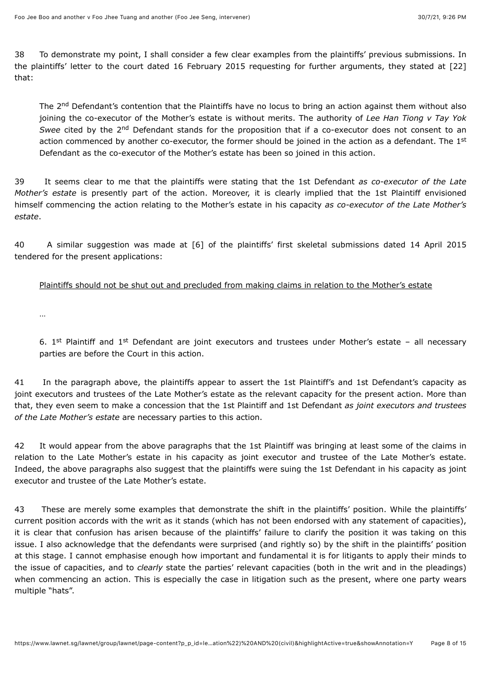38 To demonstrate my point, I shall consider a few clear examples from the plaintiffs' previous submissions. In the plaintiffs' letter to the court dated 16 February 2015 requesting for further arguments, they stated at [22] that:

The 2<sup>nd</sup> Defendant's contention that the Plaintiffs have no locus to bring an action against them without also joining the co-executor of the Mother's estate is without merits. The authority of *Lee Han Tiong v Tay Yok* Swee cited by the 2<sup>nd</sup> Defendant stands for the proposition that if a co-executor does not consent to an action commenced by another co-executor, the former should be joined in the action as a defendant. The 1<sup>st</sup> Defendant as the co-executor of the Mother's estate has been so joined in this action.

39 It seems clear to me that the plaintiffs were stating that the 1st Defendant *as co-executor of the Late Mother's estate* is presently part of the action. Moreover, it is clearly implied that the 1st Plaintiff envisioned himself commencing the action relating to the Mother's estate in his capacity *as co-executor of the Late Mother's estate*.

40 A similar suggestion was made at [6] of the plaintiffs' first skeletal submissions dated 14 April 2015 tendered for the present applications:

#### Plaintiffs should not be shut out and precluded from making claims in relation to the Mother's estate

…

6. 1<sup>st</sup> Plaintiff and 1<sup>st</sup> Defendant are joint executors and trustees under Mother's estate - all necessary parties are before the Court in this action.

41 In the paragraph above, the plaintiffs appear to assert the 1st Plaintiff's and 1st Defendant's capacity as joint executors and trustees of the Late Mother's estate as the relevant capacity for the present action. More than that, they even seem to make a concession that the 1st Plaintiff and 1st Defendant *as joint executors and trustees of the Late Mother's estate* are necessary parties to this action.

42 It would appear from the above paragraphs that the 1st Plaintiff was bringing at least some of the claims in relation to the Late Mother's estate in his capacity as joint executor and trustee of the Late Mother's estate. Indeed, the above paragraphs also suggest that the plaintiffs were suing the 1st Defendant in his capacity as joint executor and trustee of the Late Mother's estate.

43 These are merely some examples that demonstrate the shift in the plaintiffs' position. While the plaintiffs' current position accords with the writ as it stands (which has not been endorsed with any statement of capacities), it is clear that confusion has arisen because of the plaintiffs' failure to clarify the position it was taking on this issue. I also acknowledge that the defendants were surprised (and rightly so) by the shift in the plaintiffs' position at this stage. I cannot emphasise enough how important and fundamental it is for litigants to apply their minds to the issue of capacities, and to *clearly* state the parties' relevant capacities (both in the writ and in the pleadings) when commencing an action. This is especially the case in litigation such as the present, where one party wears multiple "hats".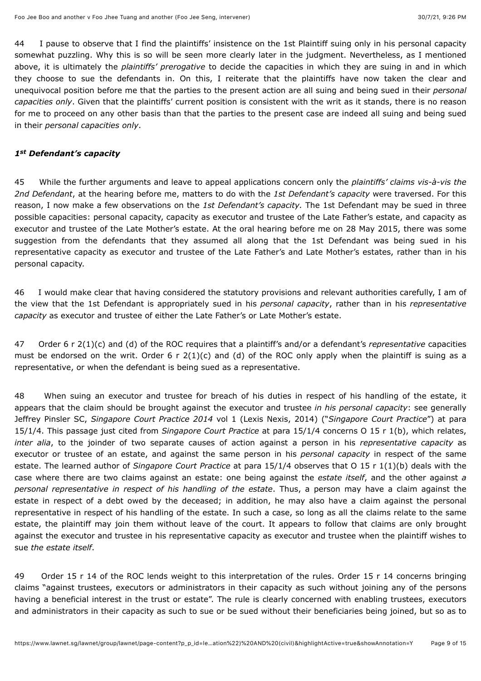44 I pause to observe that I find the plaintiffs' insistence on the 1st Plaintiff suing only in his personal capacity somewhat puzzling. Why this is so will be seen more clearly later in the judgment. Nevertheless, as I mentioned above, it is ultimately the *plaintiffs' prerogative* to decide the capacities in which they are suing in and in which they choose to sue the defendants in. On this, I reiterate that the plaintiffs have now taken the clear and unequivocal position before me that the parties to the present action are all suing and being sued in their *personal capacities only*. Given that the plaintiffs' current position is consistent with the writ as it stands, there is no reason for me to proceed on any other basis than that the parties to the present case are indeed all suing and being sued in their *personal capacities only*.

#### 1st Defendant's capacity

45 While the further arguments and leave to appeal applications concern only the *plaintiffs' claims vis-à-vis the 2nd Defendant*, at the hearing before me, matters to do with the *1st Defendant's capacity* were traversed. For this reason, I now make a few observations on the *1st Defendant's capacity.* The 1st Defendant may be sued in three possible capacities: personal capacity, capacity as executor and trustee of the Late Father's estate, and capacity as executor and trustee of the Late Mother's estate. At the oral hearing before me on 28 May 2015, there was some suggestion from the defendants that they assumed all along that the 1st Defendant was being sued in his representative capacity as executor and trustee of the Late Father's and Late Mother's estates, rather than in his personal capacity.

46 I would make clear that having considered the statutory provisions and relevant authorities carefully, I am of the view that the 1st Defendant is appropriately sued in his *personal capacity*, rather than in his *representative capacity* as executor and trustee of either the Late Father's or Late Mother's estate.

47 Order 6 r 2(1)(c) and (d) of the ROC requires that a plaintiff's and/or a defendant's *representative* capacities must be endorsed on the writ. Order 6 r  $2(1)(c)$  and (d) of the ROC only apply when the plaintiff is suing as a representative, or when the defendant is being sued as a representative.

48 When suing an executor and trustee for breach of his duties in respect of his handling of the estate, it appears that the claim should be brought against the executor and trustee *in his personal capacity*: see generally Jeffrey Pinsler SC, *Singapore Court Practice 2014* vol 1 (Lexis Nexis, 2014) ("*Singapore Court Practice*") at para 15/1/4. This passage just cited from *Singapore Court Practice* at para 15/1/4 concerns O 15 r 1(b), which relates, *inter alia*, to the joinder of two separate causes of action against a person in his *representative capacity* as executor or trustee of an estate, and against the same person in his *personal capacity* in respect of the same estate. The learned author of *Singapore Court Practice* at para 15/1/4 observes that O 15 r 1(1)(b) deals with the case where there are two claims against an estate: one being against the *estate itself*, and the other against *a personal representative in respect of his handling of the estate*. Thus, a person may have a claim against the estate in respect of a debt owed by the deceased; in addition, he may also have a claim against the personal representative in respect of his handling of the estate. In such a case, so long as all the claims relate to the same estate, the plaintiff may join them without leave of the court. It appears to follow that claims are only brought against the executor and trustee in his representative capacity as executor and trustee when the plaintiff wishes to sue *the estate itself*.

49 Order 15 r 14 of the ROC lends weight to this interpretation of the rules. Order 15 r 14 concerns bringing claims "against trustees, executors or administrators in their capacity as such without joining any of the persons having a beneficial interest in the trust or estate". The rule is clearly concerned with enabling trustees, executors and administrators in their capacity as such to sue or be sued without their beneficiaries being joined, but so as to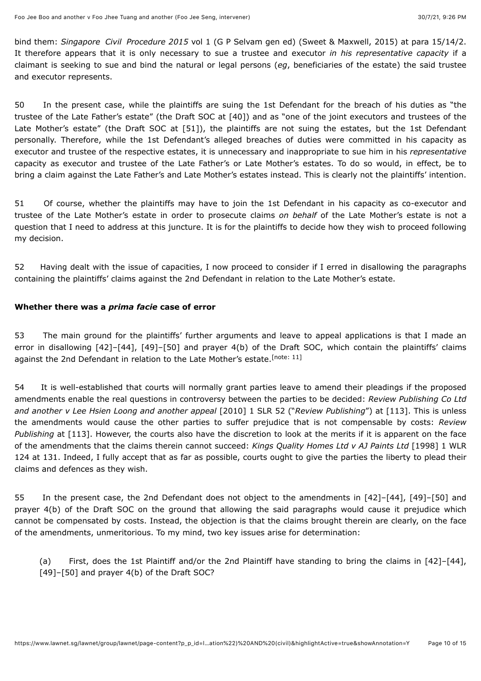bind them: *Singapore Civil Procedure 2015* vol 1 (G P Selvam gen ed) (Sweet & Maxwell, 2015) at para 15/14/2. It therefore appears that it is only necessary to sue a trustee and executor *in his representative capacity* if a claimant is seeking to sue and bind the natural or legal persons (*eg*, beneficiaries of the estate) the said trustee and executor represents.

50 In the present case, while the plaintiffs are suing the 1st Defendant for the breach of his duties as "the trustee of the Late Father's estate" (the Draft SOC at [40]) and as "one of the joint executors and trustees of the Late Mother's estate" (the Draft SOC at [51]), the plaintiffs are not suing the estates, but the 1st Defendant personally. Therefore, while the 1st Defendant's alleged breaches of duties were committed in his capacity as executor and trustee of the respective estates, it is unnecessary and inappropriate to sue him in his *representative* capacity as executor and trustee of the Late Father's or Late Mother's estates. To do so would, in effect, be to bring a claim against the Late Father's and Late Mother's estates instead. This is clearly not the plaintiffs' intention.

51 Of course, whether the plaintiffs may have to join the 1st Defendant in his capacity as co-executor and trustee of the Late Mother's estate in order to prosecute claims *on behalf* of the Late Mother's estate is not a question that I need to address at this juncture. It is for the plaintiffs to decide how they wish to proceed following my decision.

52 Having dealt with the issue of capacities, I now proceed to consider if I erred in disallowing the paragraphs containing the plaintiffs' claims against the 2nd Defendant in relation to the Late Mother's estate.

# **Whether there was a** *prima facie* **case of error**

<span id="page-9-0"></span>53 The main ground for the plaintiffs' further arguments and leave to appeal applications is that I made an error in disallowing [42]–[44], [49]–[50] and prayer 4(b) of the Draft SOC, which contain the plaintiffs' claims against the 2nd Defendant in relation to the Late Mother's estate.<sup>[\[note: 11\]](#page-14-9)</sup>

54 It is well-established that courts will normally grant parties leave to amend their pleadings if the proposed amendments enable the real questions in controversy between the parties to be decided: *Review Publishing Co Ltd and another v Lee Hsien Loong and another appeal* [\[2010\] 1 SLR 52](javascript:viewPageContent() ("*Review Publishing*") at [113]. This is unless the amendments would cause the other parties to suffer prejudice that is not compensable by costs: *Review Publishing* at [113]. However, the courts also have the discretion to look at the merits if it is apparent on the face of the amendments that the claims therein cannot succeed: *Kings Quality Homes Ltd v AJ Paints Ltd* [1998] 1 WLR [124 at 131. Indeed, I fully accept that as far as possible, courts ought to give the parties the liberty to plead their](javascript:viewPageContent() claims and defences as they wish.

55 In the present case, the 2nd Defendant does not object to the amendments in [42]–[44], [49]–[50] and prayer 4(b) of the Draft SOC on the ground that allowing the said paragraphs would cause it prejudice which cannot be compensated by costs. Instead, the objection is that the claims brought therein are clearly, on the face of the amendments, unmeritorious. To my mind, two key issues arise for determination:

(a) First, does the 1st Plaintiff and/or the 2nd Plaintiff have standing to bring the claims in [42]–[44], [49]–[50] and prayer 4(b) of the Draft SOC?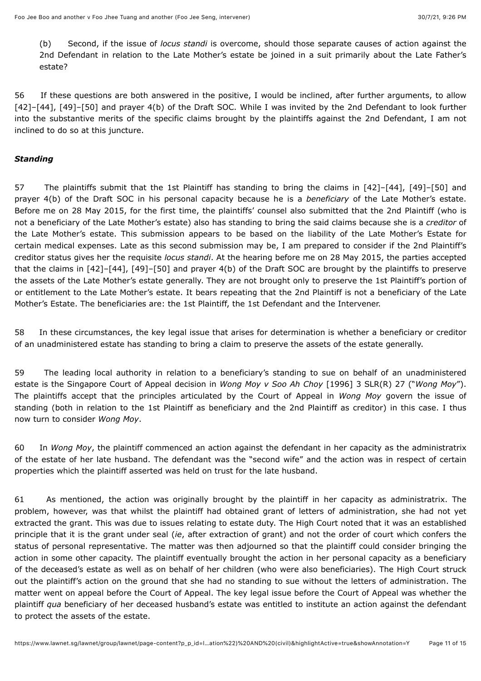(b) Second, if the issue of *locus standi* is overcome, should those separate causes of action against the 2nd Defendant in relation to the Late Mother's estate be joined in a suit primarily about the Late Father's estate?

56 If these questions are both answered in the positive, I would be inclined, after further arguments, to allow [42]–[44], [49]–[50] and prayer 4(b) of the Draft SOC. While I was invited by the 2nd Defendant to look further into the substantive merits of the specific claims brought by the plaintiffs against the 2nd Defendant, I am not inclined to do so at this juncture.

### *Standing*

57 The plaintiffs submit that the 1st Plaintiff has standing to bring the claims in [42]–[44], [49]–[50] and prayer 4(b) of the Draft SOC in his personal capacity because he is a *beneficiary* of the Late Mother's estate. Before me on 28 May 2015, for the first time, the plaintiffs' counsel also submitted that the 2nd Plaintiff (who is not a beneficiary of the Late Mother's estate) also has standing to bring the said claims because she is a *creditor* of the Late Mother's estate. This submission appears to be based on the liability of the Late Mother's Estate for certain medical expenses. Late as this second submission may be, I am prepared to consider if the 2nd Plaintiff's creditor status gives her the requisite *locus standi*. At the hearing before me on 28 May 2015, the parties accepted that the claims in [42]–[44], [49]–[50] and prayer 4(b) of the Draft SOC are brought by the plaintiffs to preserve the assets of the Late Mother's estate generally. They are not brought only to preserve the 1st Plaintiff's portion of or entitlement to the Late Mother's estate. It bears repeating that the 2nd Plaintiff is not a beneficiary of the Late Mother's Estate. The beneficiaries are: the 1st Plaintiff, the 1st Defendant and the Intervener.

58 In these circumstances, the key legal issue that arises for determination is whether a beneficiary or creditor of an unadministered estate has standing to bring a claim to preserve the assets of the estate generally.

59 The leading local authority in relation to a beneficiary's standing to sue on behalf of an unadministered estate is the Singapore Court of Appeal decision in *Wong Moy v Soo Ah Choy* [\[1996\] 3 SLR\(R\) 27](javascript:viewPageContent() ("*Wong Moy*"). The plaintiffs accept that the principles articulated by the Court of Appeal in *Wong Moy* govern the issue of standing (both in relation to the 1st Plaintiff as beneficiary and the 2nd Plaintiff as creditor) in this case. I thus now turn to consider *Wong Moy*.

60 In *Wong Moy*, the plaintiff commenced an action against the defendant in her capacity as the administratrix of the estate of her late husband. The defendant was the "second wife" and the action was in respect of certain properties which the plaintiff asserted was held on trust for the late husband.

61 As mentioned, the action was originally brought by the plaintiff in her capacity as administratrix. The problem, however, was that whilst the plaintiff had obtained grant of letters of administration, she had not yet extracted the grant. This was due to issues relating to estate duty. The High Court noted that it was an established principle that it is the grant under seal (*ie*, after extraction of grant) and not the order of court which confers the status of personal representative. The matter was then adjourned so that the plaintiff could consider bringing the action in some other capacity. The plaintiff eventually brought the action in her personal capacity as a beneficiary of the deceased's estate as well as on behalf of her children (who were also beneficiaries). The High Court struck out the plaintiff's action on the ground that she had no standing to sue without the letters of administration. The matter went on appeal before the Court of Appeal. The key legal issue before the Court of Appeal was whether the plaintiff *qua* beneficiary of her deceased husband's estate was entitled to institute an action against the defendant to protect the assets of the estate.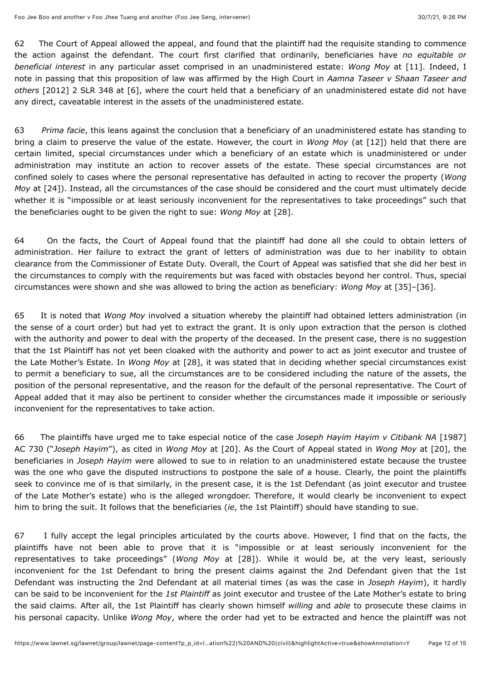62 The Court of Appeal allowed the appeal, and found that the plaintiff had the requisite standing to commence the action against the defendant. The court first clarified that ordinarily, beneficiaries have *no equitable or beneficial interest* in any particular asset comprised in an unadministered estate: *Wong Moy* at [11]. Indeed, I note in passing that this proposition of law was affirmed by the High Court in *Aamna Taseer v Shaan Taseer and others* [\[2012\] 2 SLR 348](javascript:viewPageContent() at [6], where the court held that a beneficiary of an unadministered estate did not have any direct, caveatable interest in the assets of the unadministered estate.

63 *Prima facie*, this leans against the conclusion that a beneficiary of an unadministered estate has standing to bring a claim to preserve the value of the estate. However, the court in *Wong Moy* (at [12]) held that there are certain limited, special circumstances under which a beneficiary of an estate which is unadministered or under administration may institute an action to recover assets of the estate. These special circumstances are not confined solely to cases where the personal representative has defaulted in acting to recover the property (*Wong Moy* at [24]). Instead, all the circumstances of the case should be considered and the court must ultimately decide whether it is "impossible or at least seriously inconvenient for the representatives to take proceedings" such that the beneficiaries ought to be given the right to sue: *Wong Moy* at [28].

64 On the facts, the Court of Appeal found that the plaintiff had done all she could to obtain letters of administration. Her failure to extract the grant of letters of administration was due to her inability to obtain clearance from the Commissioner of Estate Duty. Overall, the Court of Appeal was satisfied that she did her best in the circumstances to comply with the requirements but was faced with obstacles beyond her control. Thus, special circumstances were shown and she was allowed to bring the action as beneficiary: *Wong Moy* at [35]–[36].

65 It is noted that *Wong Moy* involved a situation whereby the plaintiff had obtained letters administration (in the sense of a court order) but had yet to extract the grant. It is only upon extraction that the person is clothed with the authority and power to deal with the property of the deceased. In the present case, there is no suggestion that the 1st Plaintiff has not yet been cloaked with the authority and power to act as joint executor and trustee of the Late Mother's Estate. In *Wong Moy* at [28], it was stated that in deciding whether special circumstances exist to permit a beneficiary to sue, all the circumstances are to be considered including the nature of the assets, the position of the personal representative, and the reason for the default of the personal representative. The Court of Appeal added that it may also be pertinent to consider whether the circumstances made it impossible or seriously inconvenient for the representatives to take action.

[66 The plaintiffs have urged me to take especial notice of the case](javascript:viewPageContent() *Joseph Hayim Hayim v Citibank NA* [1987] AC 730 ("*Joseph Hayim*"), as cited in *Wong Moy* at [20]. As the Court of Appeal stated in *Wong Moy* at [20], the beneficiaries in *Joseph Hayim* were allowed to sue to in relation to an unadministered estate because the trustee was the one who gave the disputed instructions to postpone the sale of a house. Clearly, the point the plaintiffs seek to convince me of is that similarly, in the present case, it is the 1st Defendant (as joint executor and trustee of the Late Mother's estate) who is the alleged wrongdoer. Therefore, it would clearly be inconvenient to expect him to bring the suit. It follows that the beneficiaries (*ie*, the 1st Plaintiff) should have standing to sue.

67 I fully accept the legal principles articulated by the courts above. However, I find that on the facts, the plaintiffs have not been able to prove that it is "impossible or at least seriously inconvenient for the representatives to take proceedings" (*Wong Moy* at [28]). While it would be, at the very least, seriously inconvenient for the 1st Defendant to bring the present claims against the 2nd Defendant given that the 1st Defendant was instructing the 2nd Defendant at all material times (as was the case in *Joseph Hayim*), it hardly can be said to be inconvenient for the *1st Plaintiff* as joint executor and trustee of the Late Mother's estate to bring the said claims. After all, the 1st Plaintiff has clearly shown himself *willing* and *able* to prosecute these claims in his personal capacity. Unlike *Wong Moy*, where the order had yet to be extracted and hence the plaintiff was not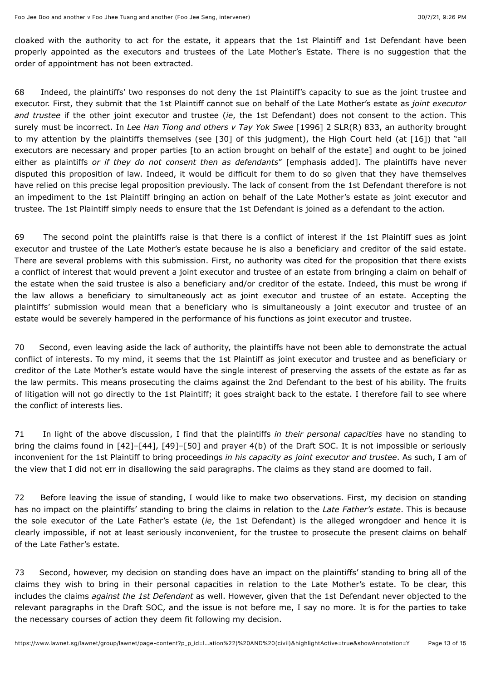cloaked with the authority to act for the estate, it appears that the 1st Plaintiff and 1st Defendant have been properly appointed as the executors and trustees of the Late Mother's Estate. There is no suggestion that the order of appointment has not been extracted.

68 Indeed, the plaintiffs' two responses do not deny the 1st Plaintiff's capacity to sue as the joint trustee and executor. First, they submit that the 1st Plaintiff cannot sue on behalf of the Late Mother's estate as *joint executor and trustee* if the other joint executor and trustee (*ie*, the 1st Defendant) does not consent to the action. This surely must be incorrect. In *Lee Han Tiong and others v Tay Yok Swee* [\[1996\] 2 SLR\(R\) 833](javascript:viewPageContent(), an authority brought to my attention by the plaintiffs themselves (see [30] of this judgment), the High Court held (at [16]) that "all executors are necessary and proper parties [to an action brought on behalf of the estate] and ought to be joined either as plaintiffs *or if they do not consent then as defendants*" [emphasis added]. The plaintiffs have never disputed this proposition of law. Indeed, it would be difficult for them to do so given that they have themselves have relied on this precise legal proposition previously. The lack of consent from the 1st Defendant therefore is not an impediment to the 1st Plaintiff bringing an action on behalf of the Late Mother's estate as joint executor and trustee. The 1st Plaintiff simply needs to ensure that the 1st Defendant is joined as a defendant to the action.

69 The second point the plaintiffs raise is that there is a conflict of interest if the 1st Plaintiff sues as joint executor and trustee of the Late Mother's estate because he is also a beneficiary and creditor of the said estate. There are several problems with this submission. First, no authority was cited for the proposition that there exists a conflict of interest that would prevent a joint executor and trustee of an estate from bringing a claim on behalf of the estate when the said trustee is also a beneficiary and/or creditor of the estate. Indeed, this must be wrong if the law allows a beneficiary to simultaneously act as joint executor and trustee of an estate. Accepting the plaintiffs' submission would mean that a beneficiary who is simultaneously a joint executor and trustee of an estate would be severely hampered in the performance of his functions as joint executor and trustee.

70 Second, even leaving aside the lack of authority, the plaintiffs have not been able to demonstrate the actual conflict of interests. To my mind, it seems that the 1st Plaintiff as joint executor and trustee and as beneficiary or creditor of the Late Mother's estate would have the single interest of preserving the assets of the estate as far as the law permits. This means prosecuting the claims against the 2nd Defendant to the best of his ability. The fruits of litigation will not go directly to the 1st Plaintiff; it goes straight back to the estate. I therefore fail to see where the conflict of interests lies.

71 In light of the above discussion, I find that the plaintiffs *in their personal capacities* have no standing to bring the claims found in [42]–[44], [49]–[50] and prayer 4(b) of the Draft SOC. It is not impossible or seriously inconvenient for the 1st Plaintiff to bring proceedings *in his capacity as joint executor and trustee*. As such, I am of the view that I did not err in disallowing the said paragraphs. The claims as they stand are doomed to fail.

72 Before leaving the issue of standing, I would like to make two observations. First, my decision on standing has no impact on the plaintiffs' standing to bring the claims in relation to the *Late Father's estate*. This is because the sole executor of the Late Father's estate (*ie*, the 1st Defendant) is the alleged wrongdoer and hence it is clearly impossible, if not at least seriously inconvenient, for the trustee to prosecute the present claims on behalf of the Late Father's estate.

73 Second, however, my decision on standing does have an impact on the plaintiffs' standing to bring all of the claims they wish to bring in their personal capacities in relation to the Late Mother's estate. To be clear, this includes the claims *against the 1st Defendant* as well. However, given that the 1st Defendant never objected to the relevant paragraphs in the Draft SOC, and the issue is not before me, I say no more. It is for the parties to take the necessary courses of action they deem fit following my decision.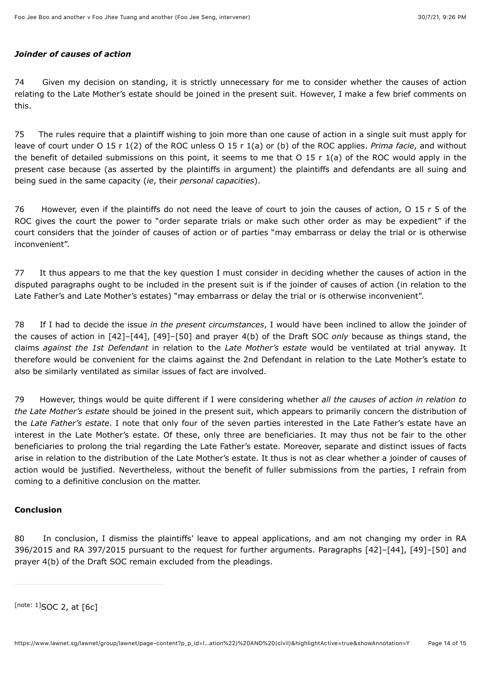#### *Joinder of causes of action*

74 Given my decision on standing, it is strictly unnecessary for me to consider whether the causes of action relating to the Late Mother's estate should be joined in the present suit. However, I make a few brief comments on this.

75 The rules require that a plaintiff wishing to join more than one cause of action in a single suit must apply for leave of court under O 15 r 1(2) of the ROC unless O 15 r 1(a) or (b) of the ROC applies. *Prima facie*, and without the benefit of detailed submissions on this point, it seems to me that O 15 r 1(a) of the ROC would apply in the present case because (as asserted by the plaintiffs in argument) the plaintiffs and defendants are all suing and being sued in the same capacity (*ie*, their *personal capacities*).

76 However, even if the plaintiffs do not need the leave of court to join the causes of action, O 15 r 5 of the ROC gives the court the power to "order separate trials or make such other order as may be expedient" if the court considers that the joinder of causes of action or of parties "may embarrass or delay the trial or is otherwise inconvenient".

77 It thus appears to me that the key question I must consider in deciding whether the causes of action in the disputed paragraphs ought to be included in the present suit is if the joinder of causes of action (in relation to the Late Father's and Late Mother's estates) "may embarrass or delay the trial or is otherwise inconvenient".

78 If I had to decide the issue *in the present circumstances*, I would have been inclined to allow the joinder of the causes of action in [42]–[44], [49]–[50] and prayer 4(b) of the Draft SOC *only* because as things stand, the claims *against the 1st Defendant* in relation to the *Late Mother's estate* would be ventilated at trial anyway. It therefore would be convenient for the claims against the 2nd Defendant in relation to the Late Mother's estate to also be similarly ventilated as similar issues of fact are involved.

79 However, things would be quite different if I were considering whether *all the causes of action in relation to the Late Mother's estate* should be joined in the present suit, which appears to primarily concern the distribution of the *Late Father's estate*. I note that only four of the seven parties interested in the Late Father's estate have an interest in the Late Mother's estate. Of these, only three are beneficiaries. It may thus not be fair to the other beneficiaries to prolong the trial regarding the Late Father's estate. Moreover, separate and distinct issues of facts arise in relation to the distribution of the Late Mother's estate. It thus is not as clear whether a joinder of causes of action would be justified. Nevertheless, without the benefit of fuller submissions from the parties, I refrain from coming to a definitive conclusion on the matter.

# **Conclusion**

80 In conclusion, I dismiss the plaintiffs' leave to appeal applications, and am not changing my order in RA 396/2015 and RA 397/2015 pursuant to the request for further arguments. Paragraphs [42]–[44], [49]–[50] and prayer 4(b) of the Draft SOC remain excluded from the pleadings.

<span id="page-13-0"></span>[note:  $1$ ]SOC 2, at [6c]